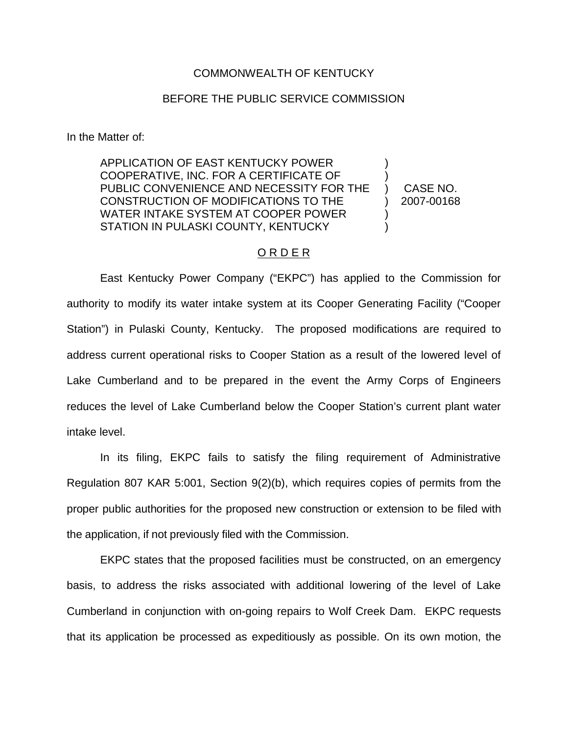## COMMONWEALTH OF KENTUCKY

## BEFORE THE PUBLIC SERVICE COMMISSION

In the Matter of:

APPLICATION OF EAST KENTUCKY POWER COOPERATIVE, INC. FOR A CERTIFICATE OF PUBLIC CONVENIENCE AND NECESSITY FOR THE CONSTRUCTION OF MODIFICATIONS TO THE WATER INTAKE SYSTEM AT COOPER POWER STATION IN PULASKI COUNTY, KENTUCKY ) ) ) CASE NO. ) )

) 2007-00168

## O R D E R

East Kentucky Power Company ("EKPC") has applied to the Commission for authority to modify its water intake system at its Cooper Generating Facility ("Cooper Station") in Pulaski County, Kentucky. The proposed modifications are required to address current operational risks to Cooper Station as a result of the lowered level of Lake Cumberland and to be prepared in the event the Army Corps of Engineers reduces the level of Lake Cumberland below the Cooper Station's current plant water intake level.

In its filing, EKPC fails to satisfy the filing requirement of Administrative Regulation 807 KAR 5:001, Section 9(2)(b), which requires copies of permits from the proper public authorities for the proposed new construction or extension to be filed with the application, if not previously filed with the Commission.

EKPC states that the proposed facilities must be constructed, on an emergency basis, to address the risks associated with additional lowering of the level of Lake Cumberland in conjunction with on-going repairs to Wolf Creek Dam. EKPC requests that its application be processed as expeditiously as possible. On its own motion, the